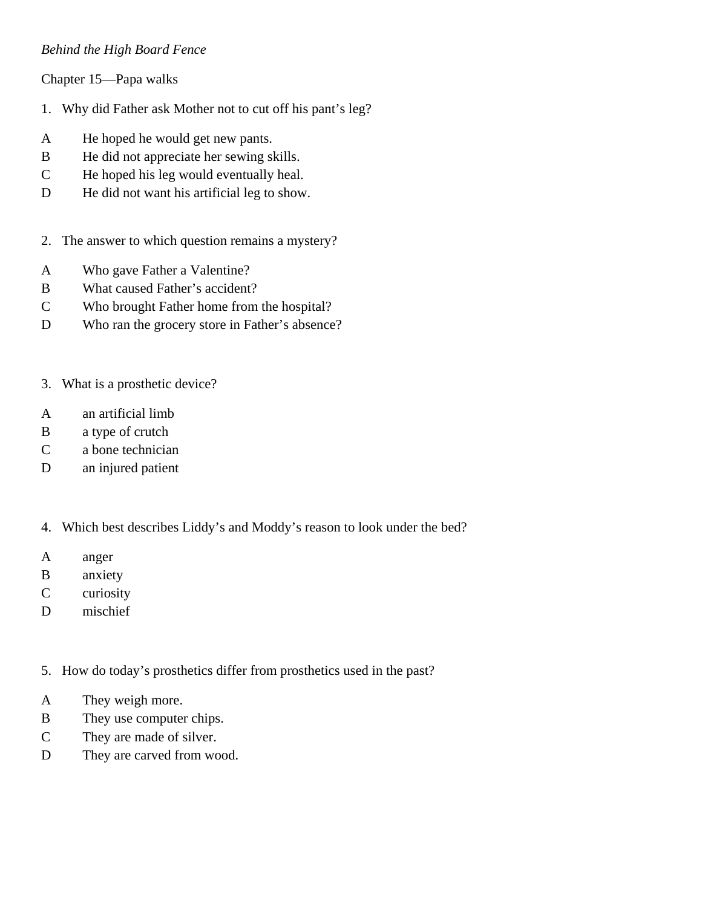## *Behind the High Board Fence*

Chapter 15—Papa walks

- 1. Why did Father ask Mother not to cut off his pant's leg?
- A He hoped he would get new pants.
- B He did not appreciate her sewing skills.
- C He hoped his leg would eventually heal.
- D He did not want his artificial leg to show.
- 2. The answer to which question remains a mystery?
- A Who gave Father a Valentine?
- B What caused Father's accident?
- C Who brought Father home from the hospital?
- D Who ran the grocery store in Father's absence?
- 3. What is a prosthetic device?
- A an artificial limb
- B a type of crutch
- C a bone technician
- D an injured patient
- 4. Which best describes Liddy's and Moddy's reason to look under the bed?
- A anger
- B anxiety
- C curiosity
- D mischief

5. How do today's prosthetics differ from prosthetics used in the past?

- A They weigh more.
- B They use computer chips.
- C They are made of silver.
- D They are carved from wood.